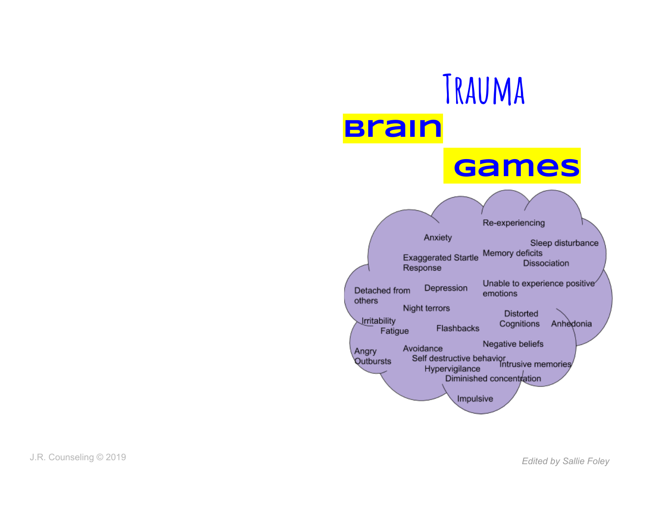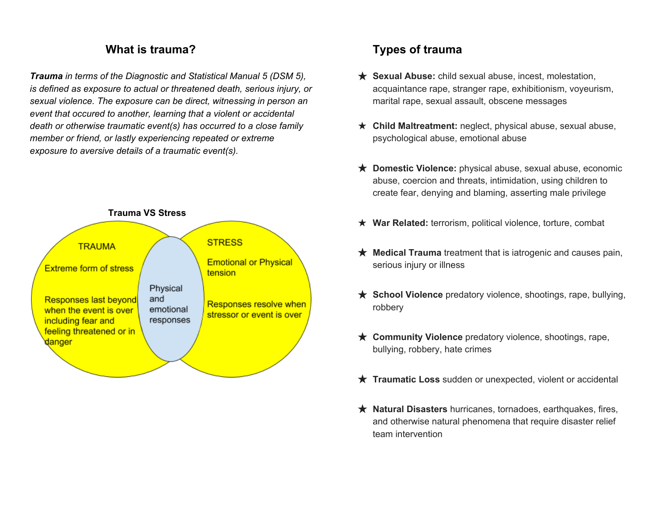## **What is trauma?**

*Trauma in terms of the Diagnostic and Statistical Manual 5 (DSM 5), is defined as exposure to actual or threatened death, serious injury, or sexual violence. The exposure can be direct, witnessing in person an event that occured to another, learning that a violent or accidental death or otherwise traumatic event(s) has occurred to a close family member or friend, or lastly experiencing repeated or extreme exposure to aversive details of a traumatic event(s).*



## **Types of trauma**

- ★ **Sexual Abuse:** child sexual abuse, incest, molestation, acquaintance rape, stranger rape, exhibitionism, voyeurism, marital rape, sexual assault, obscene messages
- ★ **Child Maltreatment:** neglect, physical abuse, sexual abuse, psychological abuse, emotional abuse
- ★ **Domestic Violence:** physical abuse, sexual abuse, economic abuse, coercion and threats, intimidation, using children to create fear, denying and blaming, asserting male privilege
- ★ **War Related:** terrorism, political violence, torture, combat
- ★ **Medical Trauma** treatment that is iatrogenic and causes pain, serious injury or illness
- ★ **School Violence** predatory violence, shootings, rape, bullying, robbery
- ★ **Community Violence** predatory violence, shootings, rape, bullying, robbery, hate crimes
- ★ **Traumatic Loss** sudden or unexpected, violent or accidental
- ★ **Natural Disasters** hurricanes, tornadoes, earthquakes, fires, and otherwise natural phenomena that require disaster relief team intervention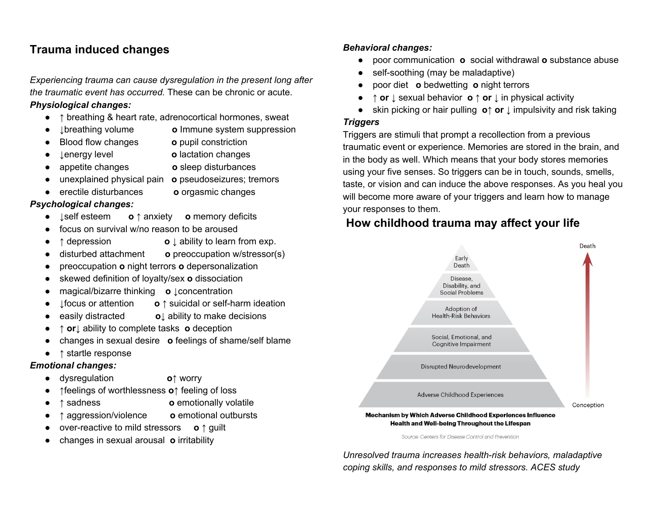## **Trauma induced changes**

*Experiencing trauma can cause dysregulation in the present long after the traumatic event has occurred.* These can be chronic or acute.

### *Physiological changes:*

- **↑** breathing & heart rate, adrenocortical hormones, sweat
- ↓breathing volume **о** Immune system suppression
	- **Blood flow changes o** pupil constriction
- 
- ↓energy level **о** lactation changes
- appetite changes **о** sleep disturbances
- unexplained physical pain **о** pseudoseizures; tremors
- **•** erectile disturbances **o** orgasmic changes

### *Psychological changes:*

- ↓self esteem **о ↑** anxiety **о** memory deficits
- focus on survival w/no reason to be aroused
- **↑** depression **о** ↓ ability to learn from exp.
- disturbed attachment **о** preoccupation w/stressor(s)
- preoccupation **о** night terrors **о** depersonalization
- skewed definition of loyalty/sex **о** dissociation
- magical/bizarre thinking **o** ↓concentration
- ↓focus or attention **о ↑** suicidal or self-harm ideation
- easily distracted **о**↓ ability to make decisions
- **↑ or**↓ ability to complete tasks **о** deception
- changes in sexual desire **о** feelings of shame/self blame
- **↑** startle response

### *Emotional changes:*

- dysregulation **о↑** worry
- **↑**feelings of worthlessness **о↑** feeling of loss
- **↑** sadness **о** emotionally volatile
- **↑** aggression/violence **о** emotional outbursts
- over-reactive to mild stressors **о ↑** guilt
- changes in sexual arousal **o** irritability

#### *Behavioral changes:*

- poor communication **о** social withdrawal **о** substance abuse
- self-soothing (may be maladaptive)
- poor diet **о** bedwetting **о** night terrors
- **↑ or** ↓ sexual behavior **о ↑ or** ↓ in physical activity
- skin picking or hair pulling **о↑ or** ↓ impulsivity and risk taking

#### *Triggers*

Triggers are stimuli that prompt a recollection from a previous traumatic event or experience. Memories are stored in the brain, and in the body as well. Which means that your body stores memories using your five senses. So triggers can be in touch, sounds, smells, taste, or vision and can induce the above responses. As you heal you will become more aware of your triggers and learn how to manage your responses to them.

# **How childhood trauma may affect your life**



Source: Centers for Disease Control and Prevention

*Unresolved trauma increases health-risk behaviors, maladaptive coping skills, and responses to mild stressors. ACES study*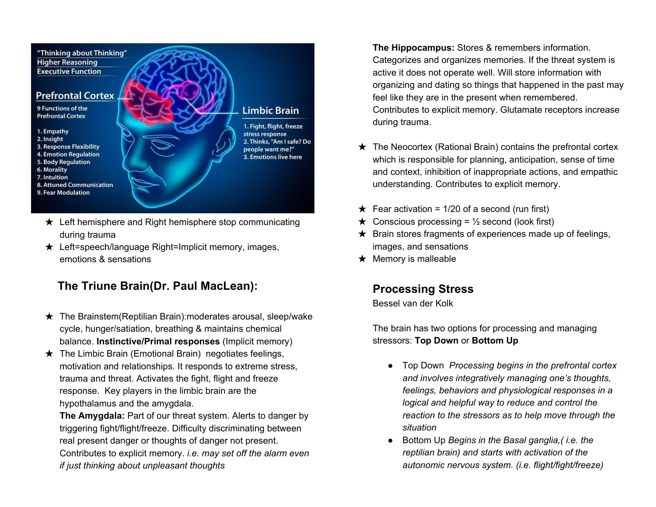

- $\star$  Left hemisphere and Right hemisphere stop communicating during trauma
- ★ Left=speech/language Right=Implicit memory, images, emotions & sensations

## **The Triune Brain(Dr. Paul MacLean):**

- $\star$  The Brainstem (Reptilian Brain): moderates arousal, sleep/wake cycle, hunger/satiation, breathing & maintains chemical balance. **Instinctive/Primal responses** (Implicit memory)
- $\star$  The Limbic Brain (Emotional Brain) negotiates feelings, motivation and relationships. It responds to extreme stress, trauma and threat. Activates the fight, flight and freeze response. Key players in the limbic brain are the hypothalamus and the amygdala.

**The Amygdala:** Part of our threat system. Alerts to danger by triggering fight/flight/freeze. Difficulty discriminating between real present danger or thoughts of danger not present. Contributes to explicit memory. *i.e. may set off the alarm even if just thinking about unpleasant thoughts*

**The Hippocampus:** Stores & remembers information. Categorizes and organizes memories. If the threat system is active it does not operate well. Will store information with organizing and dating so things that happened in the past may feel like they are in the present when remembered. Contributes to explicit memory. Glutamate receptors increase during trauma.

- $\star$  The Neocortex (Rational Brain) contains the prefrontal cortex which is responsible for planning, anticipation, sense of time and context, inhibition of inappropriate actions, and empathic understanding. Contributes to explicit memory.
- $★$  Fear activation = 1/20 of a second (run first)
- $\star$  Conscious processing = 1/2 second (look first)
- $\star$  Brain stores fragments of experiences made up of feelings, images, and sensations
- $\star$  Memory is malleable

## **Processing Stress**

Bessel van der Kolk

The brain has two options for processing and managing stressors: **Top Down** or **Bottom Up**

- Top Down *Processing begins in the prefrontal cortex and involves integratively managing one's thoughts, feelings, behaviors and physiological responses in a logical and helpful way to reduce and control the reaction to the stressors as to help move through the situation*
- Bottom Up *Begins in the Basal ganglia,( i.e. the reptilian brain) and starts with activation of the autonomic nervous system. (i.e. flight/fight/freeze)*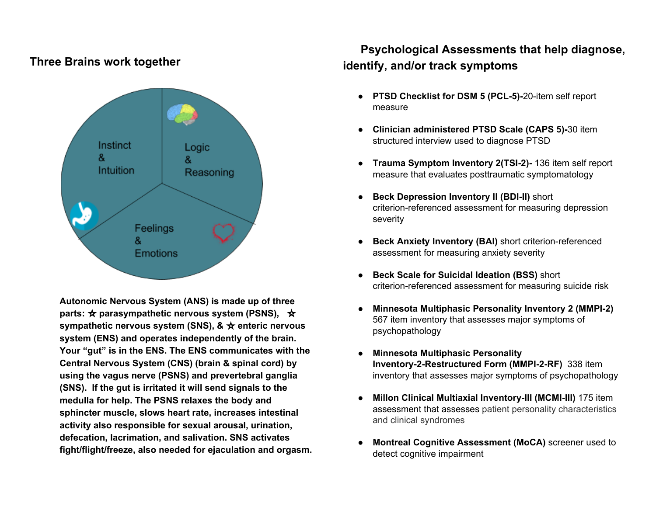## **Three Brains work together**



**Autonomic Nervous System (ANS) is made up of three parts:** ☆ **parasympathetic nervous system (PSNS),** ☆ **sympathetic nervous system (SNS), &** ☆ **enteric nervous system (ENS) and operates independently of the brain. Your "gut" is in the ENS. The ENS communicates with the Central Nervous System (CNS) (brain & spinal cord) by using the vagus nerve (PSNS) and prevertebral ganglia (SNS). If the gut is irritated it will send signals to the medulla for help. The PSNS relaxes the body and sphincter muscle, slows heart rate, increases intestinal activity also responsible for sexual arousal, urination, defecation, lacrimation, and salivation. SNS activates fight/flight/freeze, also needed for ejaculation and orgasm.**

# **Psychological Assessments that help diagnose, identify, and/or track symptoms**

- **● PTSD Checklist for DSM 5 (PCL-5)-**20-item self report measure
- **● Clinician administered PTSD Scale (CAPS 5)-**30 item structured interview used to diagnose PTSD
- **● Trauma Symptom Inventory 2(TSI-2)-** 136 item self report measure that evaluates posttraumatic symptomatology
- **● Beck Depression Inventory II (BDI-II)** short criterion-referenced assessment for measuring depression severity
- **● Beck Anxiety Inventory (BAI)** short criterion-referenced assessment for measuring anxiety severity
- **● Beck Scale for Suicidal Ideation (BSS)** short criterion-referenced assessment for measuring suicide risk
- **● Minnesota Multiphasic Personality Inventory 2 (MMPI-2)** 567 item inventory that assesses major symptoms of psychopathology
- **● Minnesota Multiphasic Personality Inventory-2-Restructured Form (MMPI-2-RF)** 338 item inventory that assesses major symptoms of psychopathology
- **● Millon Clinical Multiaxial Inventory-III (MCMI-III)** 175 item assessment that assesses patient personality characteristics and clinical syndromes
- **● Montreal Cognitive Assessment (MoCA)** screener used to detect cognitive impairment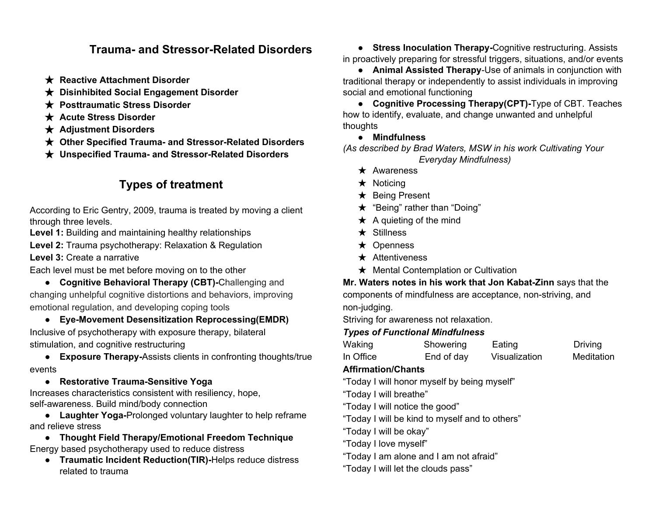## **Trauma- and Stressor-Related Disorders**

- ★ **Reactive Attachment Disorder**
- ★ **Disinhibited Social Engagement Disorder**
- ★ **Posttraumatic Stress Disorder**
- ★ **Acute Stress Disorder**
- ★ **Adjustment Disorders**
- ★ **Other Specified Trauma- and Stressor-Related Disorders**
- ★ **Unspecified Trauma- and Stressor-Related Disorders**

## **Types of treatment**

According to Eric Gentry, 2009, trauma is treated by moving a client through three levels.

**Level 1:** Building and maintaining healthy relationships

**Level 2:** Trauma psychotherapy: Relaxation & Regulation

**Level 3:** Create a narrative

Each level must be met before moving on to the other

● **Cognitive Behavioral Therapy (CBT)-**Challenging and changing unhelpful cognitive distortions and behaviors, improving emotional regulation, and developing coping tools

● **Eye-Movement Desensitization Reprocessing(EMDR)** Inclusive of psychotherapy with exposure therapy, bilateral stimulation, and cognitive restructuring

● **Exposure Therapy-**Assists clients in confronting thoughts/true events

### ● **Restorative Trauma-Sensitive Yoga**

Increases characteristics consistent with resiliency, hope, self-awareness. Build mind/body connection

● **Laughter Yoga-**Prolonged voluntary laughter to help reframe and relieve stress

● **Thought Field Therapy/Emotional Freedom Technique** Energy based psychotherapy used to reduce distress

● **Traumatic Incident Reduction(TIR)-**Helps reduce distress related to trauma

● **Stress Inoculation Therapy-**Cognitive restructuring. Assists in proactively preparing for stressful triggers, situations, and/or events

● **Animal Assisted Therapy**-Use of animals in conjunction with traditional therapy or independently to assist individuals in improving social and emotional functioning

● **Cognitive Processing Therapy(CPT)-**Type of CBT. Teaches how to identify, evaluate, and change unwanted and unhelpful thoughts

**● Mindfulness**

*(As described by Brad Waters, MSW in his work Cultivating Your Everyday Mindfulness)*

- ★ Awareness
- ★ Noticing
- ★ Being Present
- ★ "Being" rather than "Doing"
- $\star$  A quieting of the mind
- ★ Stillness
- ★ Openness
- **★** Attentiveness
- ★ Mental Contemplation or Cultivation

**Mr. Waters notes in his work that Jon Kabat-Zinn** says that the components of mindfulness are acceptance, non-striving, and

non-judging.

Striving for awareness not relaxation.

### *Types of Functional Mindfulness*

| Waking    | Showering  | Eating        | <b>Driving</b> |
|-----------|------------|---------------|----------------|
| In Office | End of day | Visualization | Meditation     |

### **Affirmation/Chants**

"Today I will honor myself by being myself"

"Today I will breathe"

"Today I will notice the good"

"Today I will be kind to myself and to others"

"Today I will be okay"

"Today I love myself"

"Today I am alone and I am not afraid"

"Today I will let the clouds pass"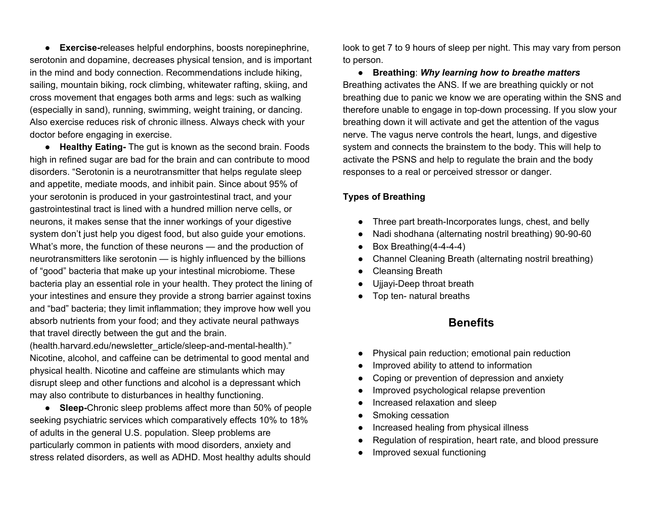● **Exercise-**releases helpful endorphins, boosts norepinephrine, serotonin and dopamine, decreases physical tension, and is important in the mind and body connection. Recommendations include hiking, sailing, mountain biking, rock climbing, whitewater rafting, skiing, and cross movement that engages both arms and legs: such as walking (especially in sand), running, swimming, weight training, or dancing. Also exercise reduces risk of chronic illness. Always check with your doctor before engaging in exercise.

● **Healthy Eating-** The gut is known as the second brain. Foods high in refined sugar are bad for the brain and can contribute to mood disorders. "Serotonin is a neurotransmitter that helps regulate sleep and appetite, mediate moods, and inhibit pain. Since about 95% of your serotonin is produced in your gastrointestinal tract, and your gastrointestinal tract is lined with a hundred million nerve cells, or neurons, it makes sense that the inner workings of your digestive system don't just help you digest food, but also guide your emotions. What's more, the function of these neurons — and the production of neurotransmitters like serotonin — is highly influenced by the billions of "good" bacteria that make up your intestinal microbiome. These bacteria play an essential role in your health. They protect the lining of your intestines and ensure they provide a strong barrier against toxins and "bad" bacteria; they limit inflammation; they improve how well you absorb nutrients from your food; and they activate neural pathways that travel directly between the gut and the brain.

(health.harvard.edu/newsletter\_article/sleep-and-mental-health)." Nicotine, alcohol, and caffeine can be detrimental to good mental and physical health. Nicotine and caffeine are stimulants which may disrupt sleep and other functions and alcohol is a depressant which may also contribute to disturbances in healthy functioning.

● **Sleep-**Chronic sleep problems affect more than 50% of people seeking psychiatric services which comparatively effects 10% to 18% of adults in the general U.S. population. Sleep problems are particularly common in patients with mood disorders, anxiety and stress related disorders, as well as ADHD. Most healthy adults should

look to get 7 to 9 hours of sleep per night. This may vary from person to person.

● **Breathing**: *Why learning how to breathe matters* Breathing activates the ANS. If we are breathing quickly or not breathing due to panic we know we are operating within the SNS and therefore unable to engage in top-down processing. If you slow your breathing down it will activate and get the attention of the vagus nerve. The vagus nerve controls the heart, lungs, and digestive system and connects the brainstem to the body. This will help to activate the PSNS and help to regulate the brain and the body responses to a real or perceived stressor or danger.

### **Types of Breathing**

- Three part breath-Incorporates lungs, chest, and belly
- Nadi shodhana (alternating nostril breathing) 90-90-60
- Box Breathing(4-4-4-4)
- Channel Cleaning Breath (alternating nostril breathing)
- **Cleansing Breath**
- Ujjayi-Deep throat breath
- Top ten- natural breaths

## **Benefits**

- Physical pain reduction; emotional pain reduction
- Improved ability to attend to information
- Coping or prevention of depression and anxiety
- Improved psychological relapse prevention
- Increased relaxation and sleep
- Smoking cessation
- Increased healing from physical illness
- Regulation of respiration, heart rate, and blood pressure
- Improved sexual functioning